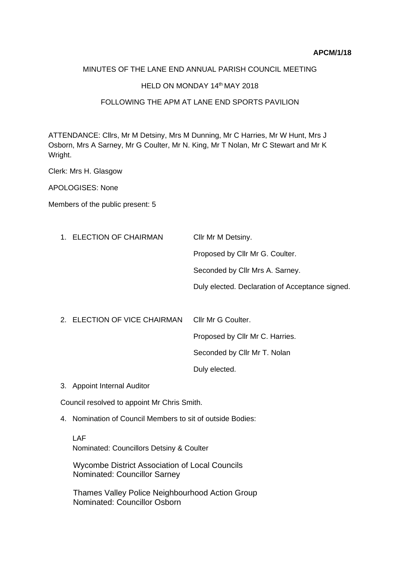#### MINUTES OF THE LANE END ANNUAL PARISH COUNCIL MEETING

### HELD ON MONDAY 14th MAY 2018

#### FOLLOWING THE APM AT LANE END SPORTS PAVILION.

ATTENDANCE: Cllrs, Mr M Detsiny, Mrs M Dunning, Mr C Harries, Mr W Hunt, Mrs J Osborn, Mrs A Sarney, Mr G Coulter, Mr N. King, Mr T Nolan, Mr C Stewart and Mr K Wright.

Clerk: Mrs H. Glasgow

APOLOGISES: None

Members of the public present: 5

| 1. ELECTION OF CHAIRMAN | Cllr Mr M Detsiny.                              |
|-------------------------|-------------------------------------------------|
|                         | Proposed by Cllr Mr G. Coulter.                 |
|                         | Seconded by Cllr Mrs A. Sarney.                 |
|                         | Duly elected. Declaration of Acceptance signed. |
|                         |                                                 |

- 2. ELECTION OF VICE CHAIRMAN Cllr Mr G Coulter. Proposed by Cllr Mr C. Harries. Seconded by Cllr Mr T. Nolan Duly elected.
- 3. Appoint Internal Auditor

Council resolved to appoint Mr Chris Smith.

4. Nomination of Council Members to sit of outside Bodies:

LAF Nominated: Councillors Detsiny & Coulter

 Wycombe District Association of Local Councils Nominated: Councillor Sarney

Thames Valley Police Neighbourhood Action Group Nominated: Councillor Osborn